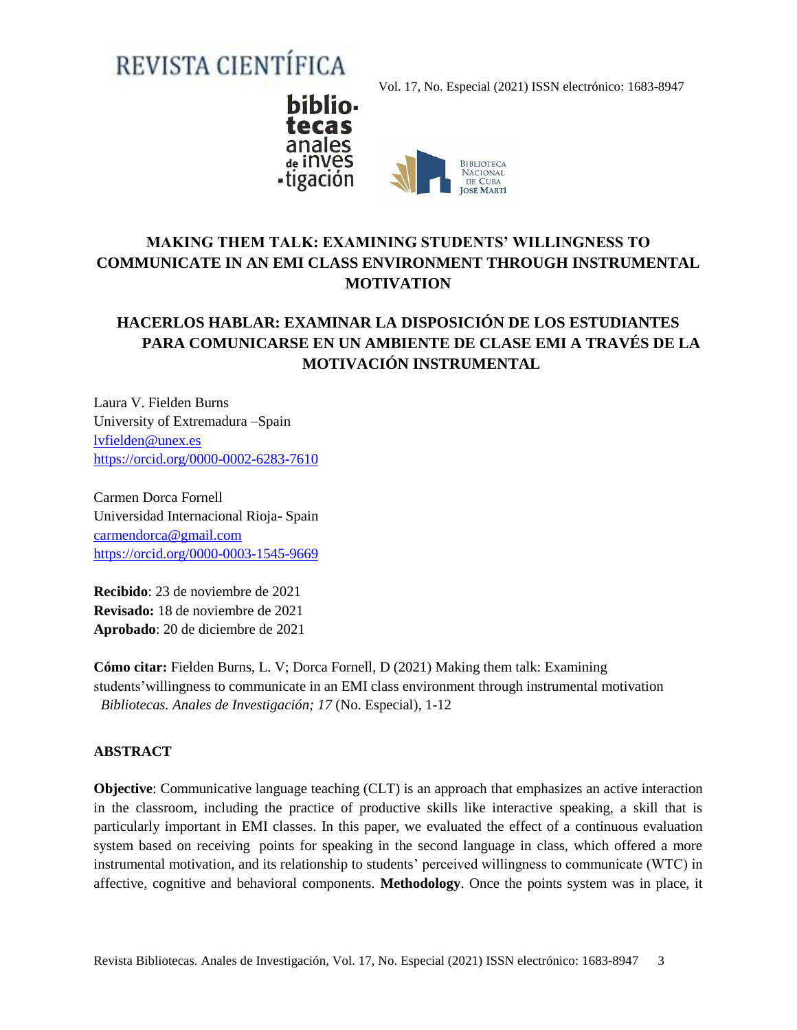# REVISTA CIENTÍFICA

Vol. 17, No. Especial (2021) ISSN electrónico: 1683-8947



# **MAKING THEM TALK: EXAMINING STUDENTS' WILLINGNESS TO COMMUNICATE IN AN EMI CLASS ENVIRONMENT THROUGH INSTRUMENTAL MOTIVATION**

# **HACERLOS HABLAR: EXAMINAR LA DISPOSICIÓN DE LOS ESTUDIANTES PARA COMUNICARSE EN UN AMBIENTE DE CLASE EMI A TRAVÉS DE LA MOTIVACIÓN INSTRUMENTAL**

Laura V. Fielden Burns University of Extremadura –Spain [lvfielden@unex.es](mailto:lvfielden@unex.es) <https://orcid.org/0000-0002-6283-7610>

Carmen Dorca Fornell Universidad Internacional Rioja- Spain [carmendorca@gmail.com](mailto:carmendorca@gmail.com) <https://orcid.org/0000-0003-1545-9669>

**Recibido**: 23 de noviembre de 2021 **Revisado:** 18 de noviembre de 2021 **Aprobado**: 20 de diciembre de 2021

**Cómo citar:** Fielden Burns, L. V; Dorca Fornell, D (2021) Making them talk: Examining students'willingness to communicate in an EMI class environment through instrumental motivation *Bibliotecas. Anales de Investigación; 17* (No. Especial), 1-12

## **ABSTRACT**

**Objective**: Communicative language teaching (CLT) is an approach that emphasizes an active interaction in the classroom, including the practice of productive skills like interactive speaking, a skill that is particularly important in EMI classes. In this paper, we evaluated the effect of a continuous evaluation system based on receiving points for speaking in the second language in class, which offered a more instrumental motivation, and its relationship to students' perceived willingness to communicate (WTC) in affective, cognitive and behavioral components. **Methodology**. Once the points system was in place, it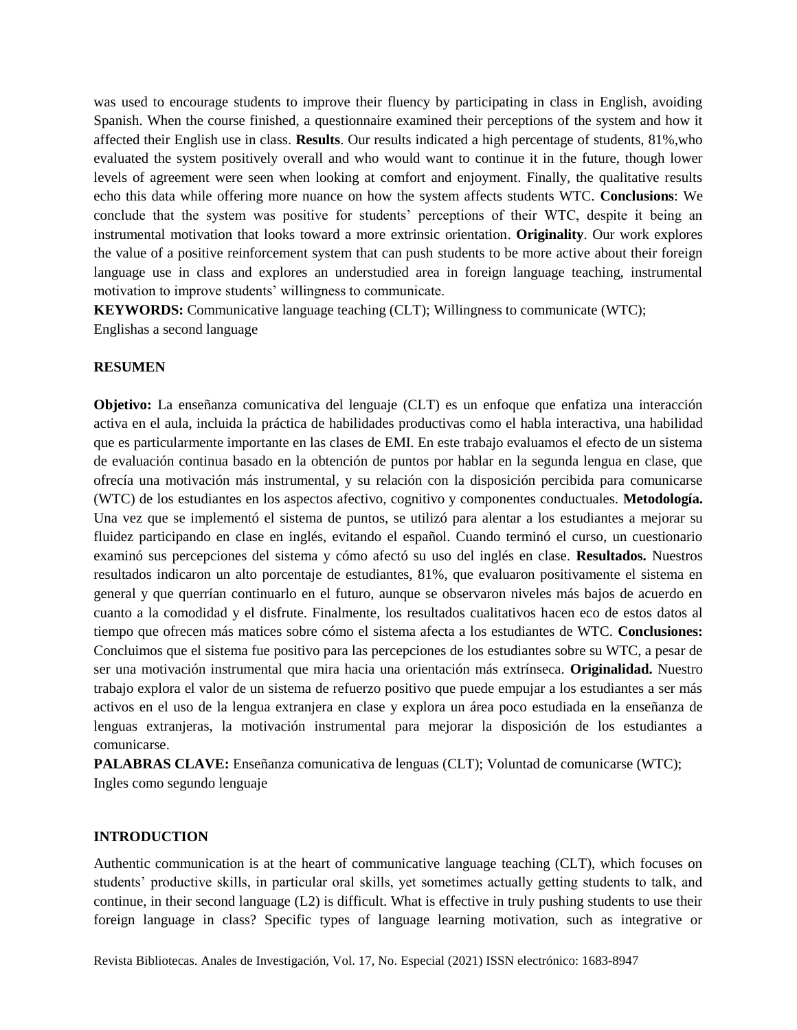was used to encourage students to improve their fluency by participating in class in English, avoiding Spanish. When the course finished, a questionnaire examined their perceptions of the system and how it affected their English use in class. **Results**. Our results indicated a high percentage of students, 81%,who evaluated the system positively overall and who would want to continue it in the future, though lower levels of agreement were seen when looking at comfort and enjoyment. Finally, the qualitative results echo this data while offering more nuance on how the system affects students WTC. **Conclusions**: We conclude that the system was positive for students' perceptions of their WTC, despite it being an instrumental motivation that looks toward a more extrinsic orientation. **Originality**. Our work explores the value of a positive reinforcement system that can push students to be more active about their foreign language use in class and explores an understudied area in foreign language teaching, instrumental motivation to improve students' willingness to communicate.

**KEYWORDS:** Communicative language teaching (CLT); Willingness to communicate (WTC); Englishas a second language

#### **RESUMEN**

**Objetivo:** La enseñanza comunicativa del lenguaje (CLT) es un enfoque que enfatiza una interacción activa en el aula, incluida la práctica de habilidades productivas como el habla interactiva, una habilidad que es particularmente importante en las clases de EMI. En este trabajo evaluamos el efecto de un sistema de evaluación continua basado en la obtención de puntos por hablar en la segunda lengua en clase, que ofrecía una motivación más instrumental, y su relación con la disposición percibida para comunicarse (WTC) de los estudiantes en los aspectos afectivo, cognitivo y componentes conductuales. **Metodología.** Una vez que se implementó el sistema de puntos, se utilizó para alentar a los estudiantes a mejorar su fluidez participando en clase en inglés, evitando el español. Cuando terminó el curso, un cuestionario examinó sus percepciones del sistema y cómo afectó su uso del inglés en clase. **Resultados.** Nuestros resultados indicaron un alto porcentaje de estudiantes, 81%, que evaluaron positivamente el sistema en general y que querrían continuarlo en el futuro, aunque se observaron niveles más bajos de acuerdo en cuanto a la comodidad y el disfrute. Finalmente, los resultados cualitativos hacen eco de estos datos al tiempo que ofrecen más matices sobre cómo el sistema afecta a los estudiantes de WTC. **Conclusiones:** Concluimos que el sistema fue positivo para las percepciones de los estudiantes sobre su WTC, a pesar de ser una motivación instrumental que mira hacia una orientación más extrínseca. **Originalidad.** Nuestro trabajo explora el valor de un sistema de refuerzo positivo que puede empujar a los estudiantes a ser más activos en el uso de la lengua extranjera en clase y explora un área poco estudiada en la enseñanza de lenguas extranjeras, la motivación instrumental para mejorar la disposición de los estudiantes a comunicarse.

**PALABRAS CLAVE:** Enseñanza comunicativa de lenguas (CLT); Voluntad de comunicarse (WTC); Ingles como segundo lenguaje

#### **INTRODUCTION**

Authentic communication is at the heart of communicative language teaching (CLT), which focuses on students' productive skills, in particular oral skills, yet sometimes actually getting students to talk, and continue, in their second language (L2) is difficult. What is effective in truly pushing students to use their foreign language in class? Specific types of language learning motivation, such as integrative or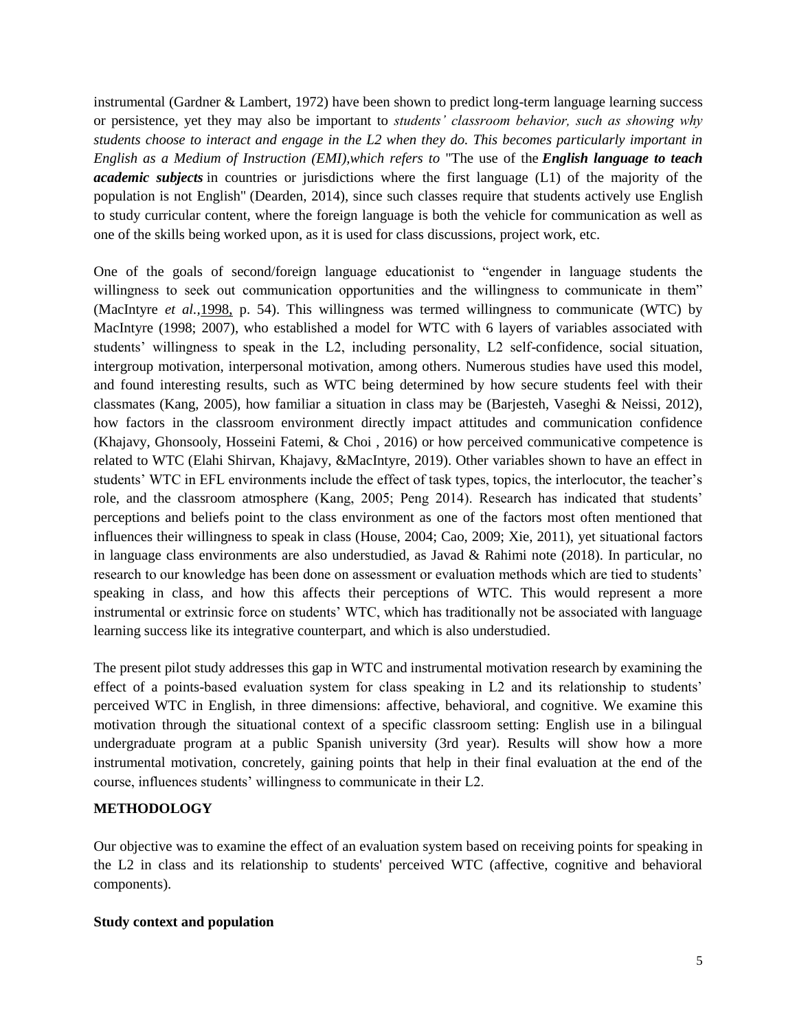instrumental (Gardner & Lambert, 1972) have been shown to predict long-term language learning success or persistence, yet they may also be important to *students' classroom behavior, such as showing why students choose to interact and engage in the L2 when they do. This becomes particularly important in English as a Medium of Instruction (EMI),which refers to* "The use of the *English language to teach academic subjects* in countries or jurisdictions where the first language (L1) of the majority of the population is not English" (Dearden, 2014), since such classes require that students actively use English to study curricular content, where the foreign language is both the vehicle for communication as well as one of the skills being worked upon, as it is used for class discussions, project work, etc*.*

One of the goals of second/foreign language educationist to "engender in language students the willingness to seek out communication opportunities and the willingness to communicate in them" (MacIntyre *et al.,*[1998,](https://www.tandfonline.com/doi/full/10.1080/2331186X.2018.1513313) p. 54). This willingness was termed willingness to communicate (WTC) by MacIntyre (1998; 2007), who established a model for WTC with 6 layers of variables associated with students' willingness to speak in the L2, including personality, L2 self-confidence, social situation, intergroup motivation, interpersonal motivation, among others. Numerous studies have used this model, and found interesting results, such as WTC being determined by how secure students feel with their classmates (Kang, 2005), how familiar a situation in class may be (Barjesteh, Vaseghi & Neissi, 2012), how factors in the classroom environment directly impact attitudes and communication confidence (Khajavy, Ghonsooly, Hosseini Fatemi, & Choi , 2016) or how perceived communicative competence is related to WTC (Elahi Shirvan, Khajavy, &MacIntyre, 2019). Other variables shown to have an effect in students' WTC in EFL environments include the effect of task types, topics, the interlocutor, the teacher's role, and the classroom atmosphere (Kang, 2005; Peng 2014). Research has indicated that students' perceptions and beliefs point to the class environment as one of the factors most often mentioned that influences their willingness to speak in class (House, 2004; Cao, 2009; Xie, 2011), yet situational factors in language class environments are also understudied, as Javad & Rahimi note (2018). In particular, no research to our knowledge has been done on assessment or evaluation methods which are tied to students' speaking in class, and how this affects their perceptions of WTC. This would represent a more instrumental or extrinsic force on students' WTC, which has traditionally not be associated with language learning success like its integrative counterpart, and which is also understudied.

The present pilot study addresses this gap in WTC and instrumental motivation research by examining the effect of a points-based evaluation system for class speaking in L2 and its relationship to students' perceived WTC in English, in three dimensions: affective, behavioral, and cognitive. We examine this motivation through the situational context of a specific classroom setting: English use in a bilingual undergraduate program at a public Spanish university (3rd year). Results will show how a more instrumental motivation, concretely, gaining points that help in their final evaluation at the end of the course, influences students' willingness to communicate in their L2.

## **METHODOLOGY**

Our objective was to examine the effect of an evaluation system based on receiving points for speaking in the L2 in class and its relationship to students' perceived WTC (affective, cognitive and behavioral components).

## **Study context and population**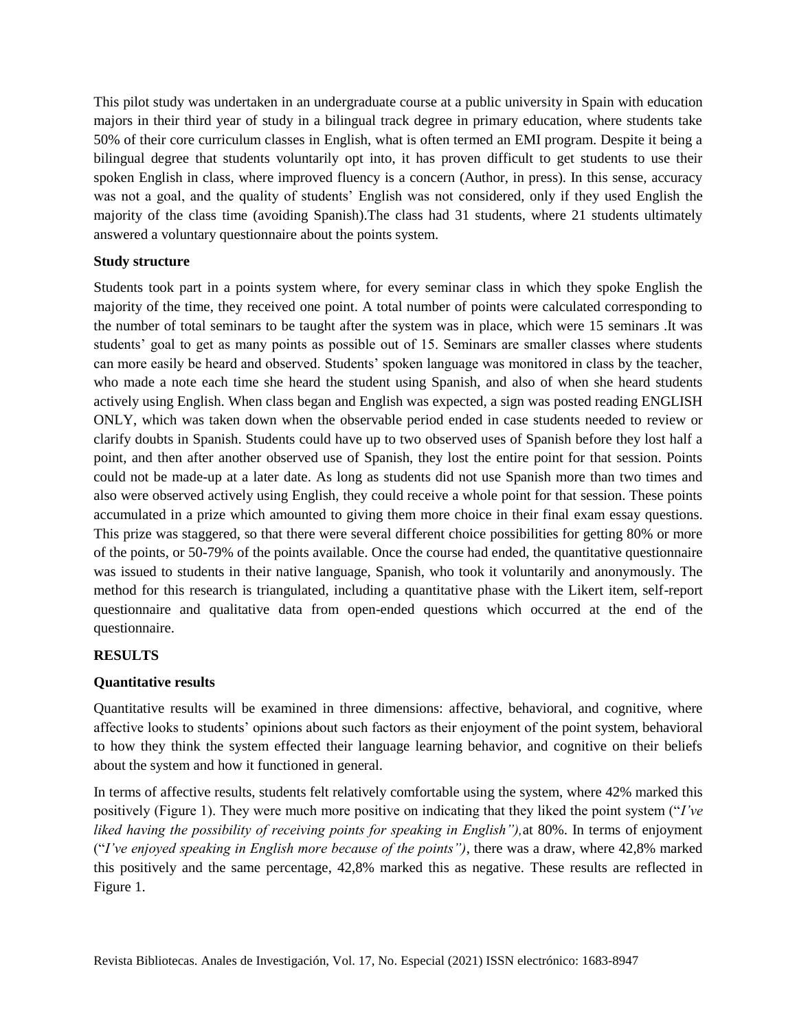This pilot study was undertaken in an undergraduate course at a public university in Spain with education majors in their third year of study in a bilingual track degree in primary education, where students take 50% of their core curriculum classes in English, what is often termed an EMI program. Despite it being a bilingual degree that students voluntarily opt into, it has proven difficult to get students to use their spoken English in class, where improved fluency is a concern (Author, in press). In this sense, accuracy was not a goal, and the quality of students' English was not considered, only if they used English the majority of the class time (avoiding Spanish).The class had 31 students, where 21 students ultimately answered a voluntary questionnaire about the points system.

# **Study structure**

Students took part in a points system where, for every seminar class in which they spoke English the majority of the time, they received one point. A total number of points were calculated corresponding to the number of total seminars to be taught after the system was in place, which were 15 seminars .It was students' goal to get as many points as possible out of 15. Seminars are smaller classes where students can more easily be heard and observed. Students' spoken language was monitored in class by the teacher, who made a note each time she heard the student using Spanish, and also of when she heard students actively using English. When class began and English was expected, a sign was posted reading ENGLISH ONLY, which was taken down when the observable period ended in case students needed to review or clarify doubts in Spanish. Students could have up to two observed uses of Spanish before they lost half a point, and then after another observed use of Spanish, they lost the entire point for that session. Points could not be made-up at a later date. As long as students did not use Spanish more than two times and also were observed actively using English, they could receive a whole point for that session. These points accumulated in a prize which amounted to giving them more choice in their final exam essay questions. This prize was staggered, so that there were several different choice possibilities for getting 80% or more of the points, or 50-79% of the points available. Once the course had ended, the quantitative questionnaire was issued to students in their native language, Spanish, who took it voluntarily and anonymously. The method for this research is triangulated, including a quantitative phase with the Likert item, self-report questionnaire and qualitative data from open-ended questions which occurred at the end of the questionnaire.

## **RESULTS**

## **Quantitative results**

Quantitative results will be examined in three dimensions: affective, behavioral, and cognitive, where affective looks to students' opinions about such factors as their enjoyment of the point system, behavioral to how they think the system effected their language learning behavior, and cognitive on their beliefs about the system and how it functioned in general.

In terms of affective results, students felt relatively comfortable using the system, where 42% marked this positively (Figure 1). They were much more positive on indicating that they liked the point system ("*I've liked having the possibility of receiving points for speaking in English"),*at 80%. In terms of enjoyment ("*I've enjoyed speaking in English more because of the points")*, there was a draw, where 42,8% marked this positively and the same percentage, 42,8% marked this as negative. These results are reflected in Figure 1.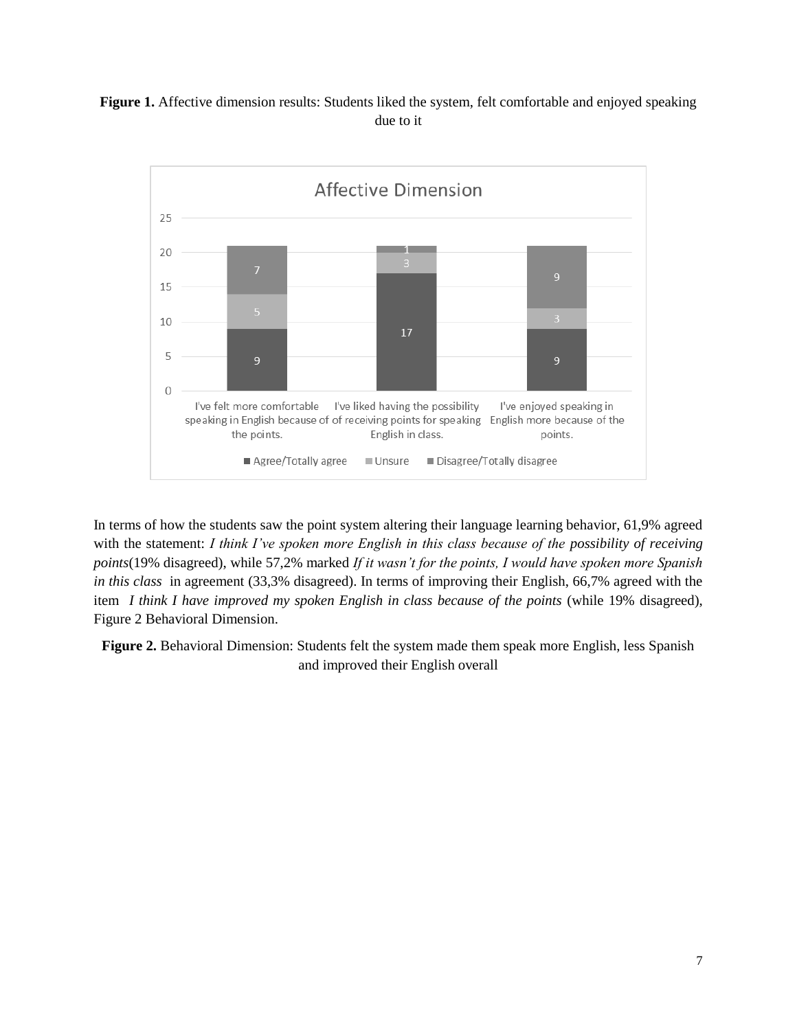# **Figure 1.** Affective dimension results: Students liked the system, felt comfortable and enjoyed speaking due to it



In terms of how the students saw the point system altering their language learning behavior, 61,9% agreed with the statement: *I think I've spoken more English in this class because of the possibility of receiving points*(19% disagreed), while 57,2% marked *If it wasn't for the points, I would have spoken more Spanish in this class* in agreement (33,3% disagreed). In terms of improving their English, 66,7% agreed with the item *I think I have improved my spoken English in class because of the points* (while 19% disagreed), Figure 2 Behavioral Dimension.

**Figure 2.** Behavioral Dimension: Students felt the system made them speak more English, less Spanish and improved their English overall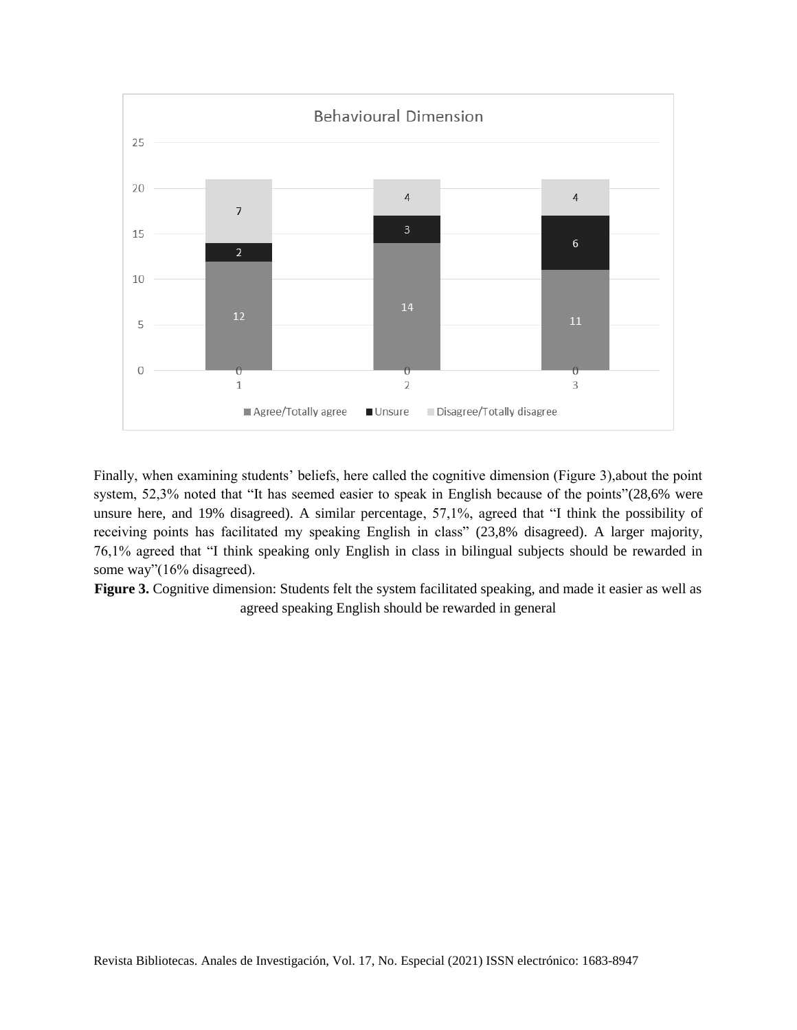

Finally, when examining students' beliefs, here called the cognitive dimension (Figure 3),about the point system, 52,3% noted that "It has seemed easier to speak in English because of the points"(28,6% were unsure here, and 19% disagreed). A similar percentage, 57,1%, agreed that "I think the possibility of receiving points has facilitated my speaking English in class" (23,8% disagreed). A larger majority, 76,1% agreed that "I think speaking only English in class in bilingual subjects should be rewarded in some way"(16% disagreed).

**Figure 3.** Cognitive dimension: Students felt the system facilitated speaking, and made it easier as well as agreed speaking English should be rewarded in general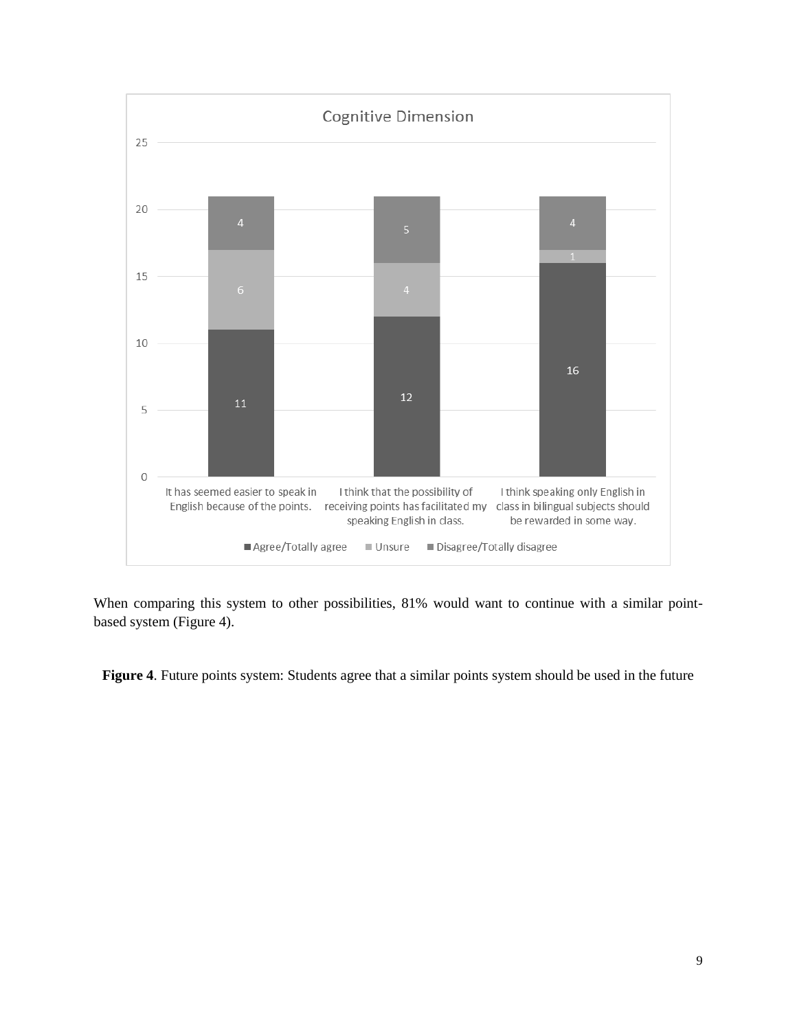

When comparing this system to other possibilities, 81% would want to continue with a similar pointbased system (Figure 4).

**Figure 4.** Future points system: Students agree that a similar points system should be used in the future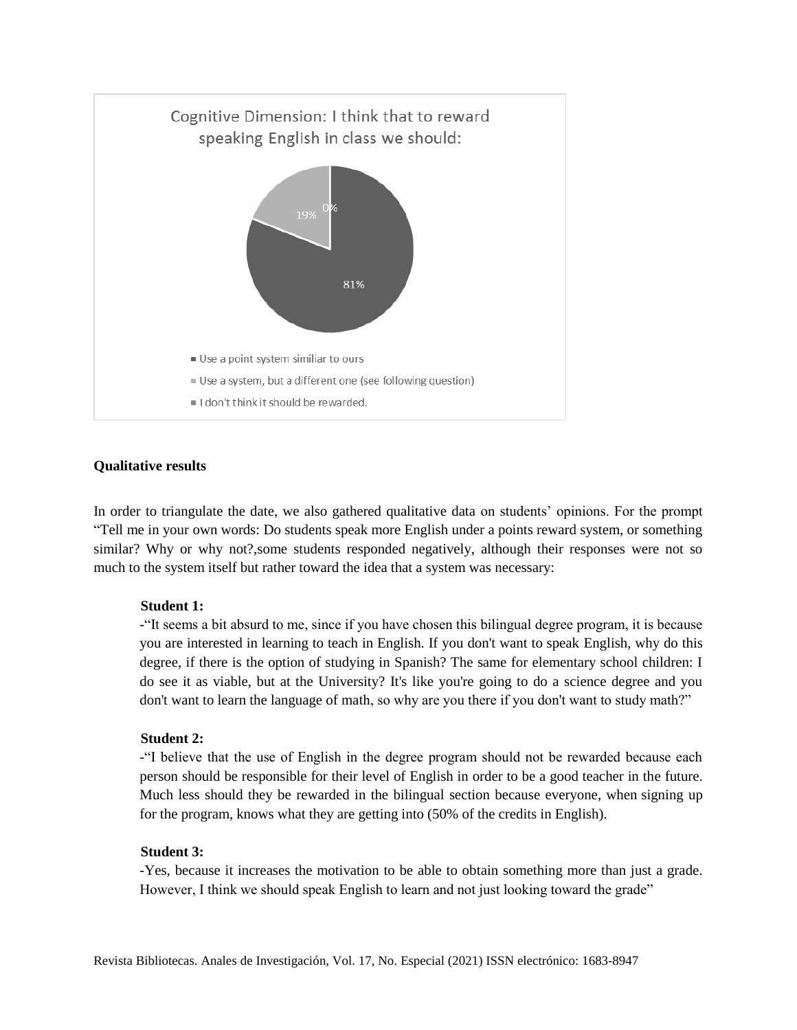

#### **Qualitative results**

In order to triangulate the date, we also gathered qualitative data on students' opinions. For the prompt "Tell me in your own words: Do students speak more English under a points reward system, or something similar? Why or why not?, some students responded negatively, although their responses were not so much to the system itself but rather toward the idea that a system was necessary:

#### **Student 1:**

-"It seems a bit absurd to me, since if you have chosen this bilingual degree program, it is because you are interested in learning to teach in English. If you don't want to speak English, why do this degree, if there is the option of studying in Spanish? The same for elementary school children: I do see it as viable, but at the University? It's like you're going to do a science degree and you don't want to learn the language of math, so why are you there if you don't want to study math?"

#### **Student 2:**

-"I believe that the use of English in the degree program should not be rewarded because each person should be responsible for their level of English in order to be a good teacher in the future. Much less should they be rewarded in the bilingual section because everyone, when signing up for the program, knows what they are getting into (50% of the credits in English).

#### **Student 3:**

-Yes, because it increases the motivation to be able to obtain something more than just a grade. However, I think we should speak English to learn and not just looking toward the grade"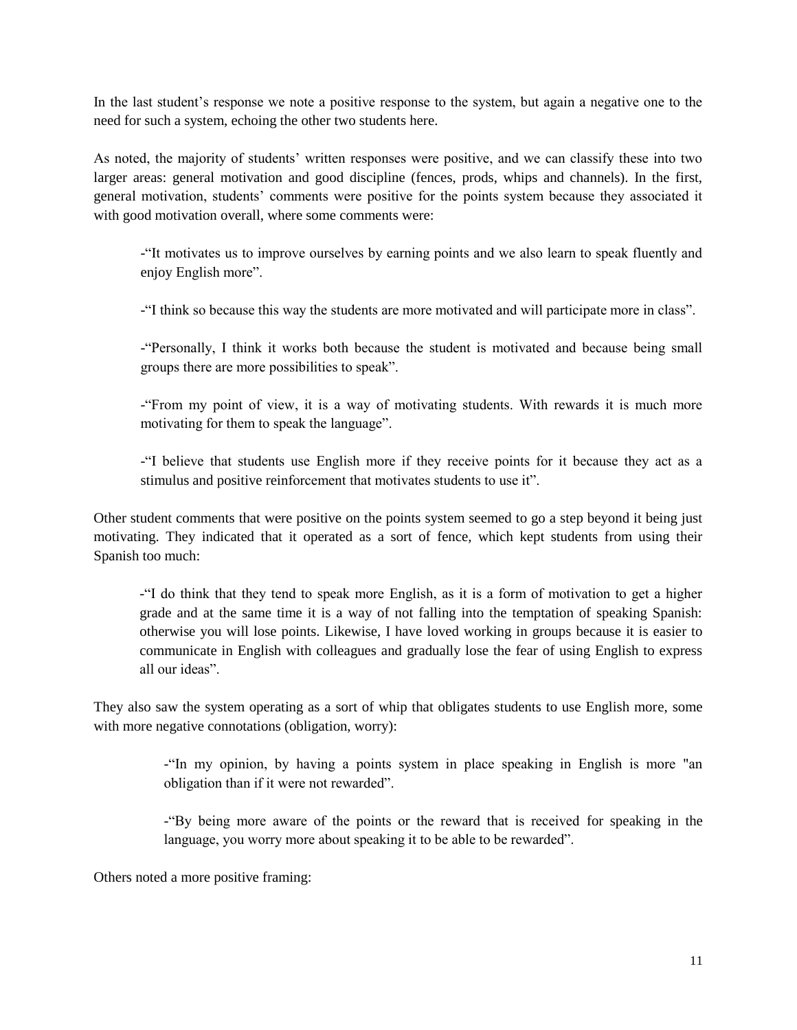In the last student's response we note a positive response to the system, but again a negative one to the need for such a system, echoing the other two students here.

As noted, the majority of students' written responses were positive, and we can classify these into two larger areas: general motivation and good discipline (fences, prods, whips and channels). In the first, general motivation, students' comments were positive for the points system because they associated it with good motivation overall, where some comments were:

-"It motivates us to improve ourselves by earning points and we also learn to speak fluently and enjoy English more".

-"I think so because this way the students are more motivated and will participate more in class".

-"Personally, I think it works both because the student is motivated and because being small groups there are more possibilities to speak".

-"From my point of view, it is a way of motivating students. With rewards it is much more motivating for them to speak the language".

-"I believe that students use English more if they receive points for it because they act as a stimulus and positive reinforcement that motivates students to use it".

Other student comments that were positive on the points system seemed to go a step beyond it being just motivating. They indicated that it operated as a sort of fence, which kept students from using their Spanish too much:

-"I do think that they tend to speak more English, as it is a form of motivation to get a higher grade and at the same time it is a way of not falling into the temptation of speaking Spanish: otherwise you will lose points. Likewise, I have loved working in groups because it is easier to communicate in English with colleagues and gradually lose the fear of using English to express all our ideas".

They also saw the system operating as a sort of whip that obligates students to use English more, some with more negative connotations (obligation, worry):

> -"In my opinion, by having a points system in place speaking in English is more "an obligation than if it were not rewarded".

> -"By being more aware of the points or the reward that is received for speaking in the language, you worry more about speaking it to be able to be rewarded".

Others noted a more positive framing: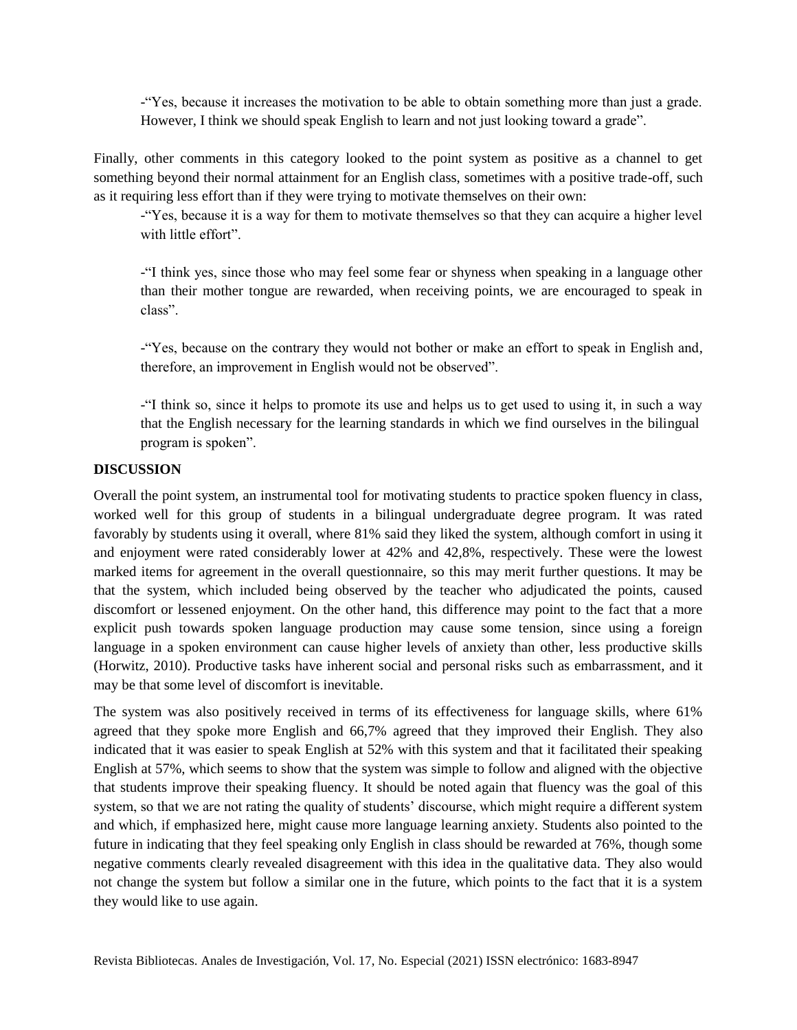-"Yes, because it increases the motivation to be able to obtain something more than just a grade. However, I think we should speak English to learn and not just looking toward a grade".

Finally, other comments in this category looked to the point system as positive as a channel to get something beyond their normal attainment for an English class, sometimes with a positive trade-off, such as it requiring less effort than if they were trying to motivate themselves on their own:

-"Yes, because it is a way for them to motivate themselves so that they can acquire a higher level with little effort"

-"I think yes, since those who may feel some fear or shyness when speaking in a language other than their mother tongue are rewarded, when receiving points, we are encouraged to speak in class".

-"Yes, because on the contrary they would not bother or make an effort to speak in English and, therefore, an improvement in English would not be observed".

-"I think so, since it helps to promote its use and helps us to get used to using it, in such a way that the English necessary for the learning standards in which we find ourselves in the bilingual program is spoken".

## **DISCUSSION**

Overall the point system, an instrumental tool for motivating students to practice spoken fluency in class, worked well for this group of students in a bilingual undergraduate degree program. It was rated favorably by students using it overall, where 81% said they liked the system, although comfort in using it and enjoyment were rated considerably lower at 42% and 42,8%, respectively. These were the lowest marked items for agreement in the overall questionnaire, so this may merit further questions. It may be that the system, which included being observed by the teacher who adjudicated the points, caused discomfort or lessened enjoyment. On the other hand, this difference may point to the fact that a more explicit push towards spoken language production may cause some tension, since using a foreign language in a spoken environment can cause higher levels of anxiety than other, less productive skills (Horwitz, 2010). Productive tasks have inherent social and personal risks such as embarrassment, and it may be that some level of discomfort is inevitable.

The system was also positively received in terms of its effectiveness for language skills, where 61% agreed that they spoke more English and 66,7% agreed that they improved their English. They also indicated that it was easier to speak English at 52% with this system and that it facilitated their speaking English at 57%, which seems to show that the system was simple to follow and aligned with the objective that students improve their speaking fluency. It should be noted again that fluency was the goal of this system, so that we are not rating the quality of students' discourse, which might require a different system and which, if emphasized here, might cause more language learning anxiety. Students also pointed to the future in indicating that they feel speaking only English in class should be rewarded at 76%, though some negative comments clearly revealed disagreement with this idea in the qualitative data. They also would not change the system but follow a similar one in the future, which points to the fact that it is a system they would like to use again.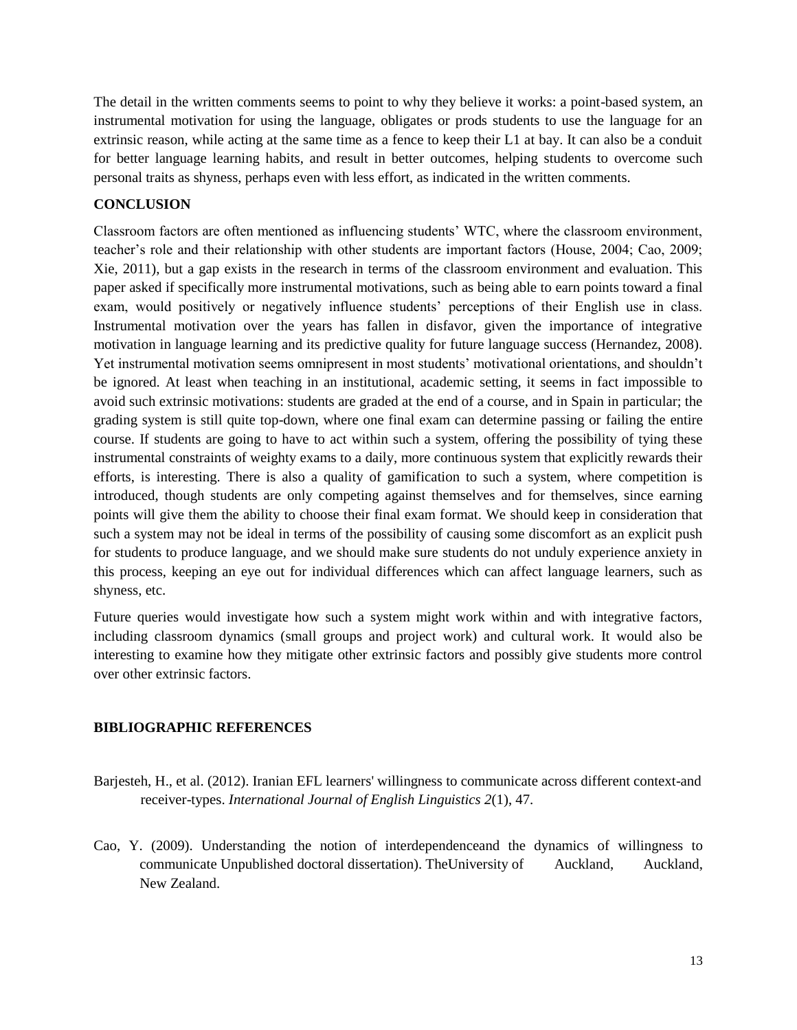The detail in the written comments seems to point to why they believe it works: a point-based system, an instrumental motivation for using the language, obligates or prods students to use the language for an extrinsic reason, while acting at the same time as a fence to keep their L1 at bay. It can also be a conduit for better language learning habits, and result in better outcomes, helping students to overcome such personal traits as shyness, perhaps even with less effort, as indicated in the written comments.

# **CONCLUSION**

Classroom factors are often mentioned as influencing students' WTC, where the classroom environment, teacher's role and their relationship with other students are important factors (House, 2004; Cao, 2009; Xie, 2011), but a gap exists in the research in terms of the classroom environment and evaluation. This paper asked if specifically more instrumental motivations, such as being able to earn points toward a final exam, would positively or negatively influence students' perceptions of their English use in class. Instrumental motivation over the years has fallen in disfavor, given the importance of integrative motivation in language learning and its predictive quality for future language success (Hernandez, 2008). Yet instrumental motivation seems omnipresent in most students' motivational orientations, and shouldn't be ignored. At least when teaching in an institutional, academic setting, it seems in fact impossible to avoid such extrinsic motivations: students are graded at the end of a course, and in Spain in particular; the grading system is still quite top-down, where one final exam can determine passing or failing the entire course. If students are going to have to act within such a system, offering the possibility of tying these instrumental constraints of weighty exams to a daily, more continuous system that explicitly rewards their efforts, is interesting. There is also a quality of gamification to such a system, where competition is introduced, though students are only competing against themselves and for themselves, since earning points will give them the ability to choose their final exam format. We should keep in consideration that such a system may not be ideal in terms of the possibility of causing some discomfort as an explicit push for students to produce language, and we should make sure students do not unduly experience anxiety in this process, keeping an eye out for individual differences which can affect language learners, such as shyness, etc.

Future queries would investigate how such a system might work within and with integrative factors, including classroom dynamics (small groups and project work) and cultural work. It would also be interesting to examine how they mitigate other extrinsic factors and possibly give students more control over other extrinsic factors.

## **BIBLIOGRAPHIC REFERENCES**

- Barjesteh, H., et al. (2012). Iranian EFL learners' willingness to communicate across different context-and receiver-types. *International Journal of English Linguistics 2*(1), 47.
- Cao, Y. (2009). Understanding the notion of interdependenceand the dynamics of willingness to communicate Unpublished doctoral dissertation). TheUniversity of Auckland, Auckland, New Zealand.